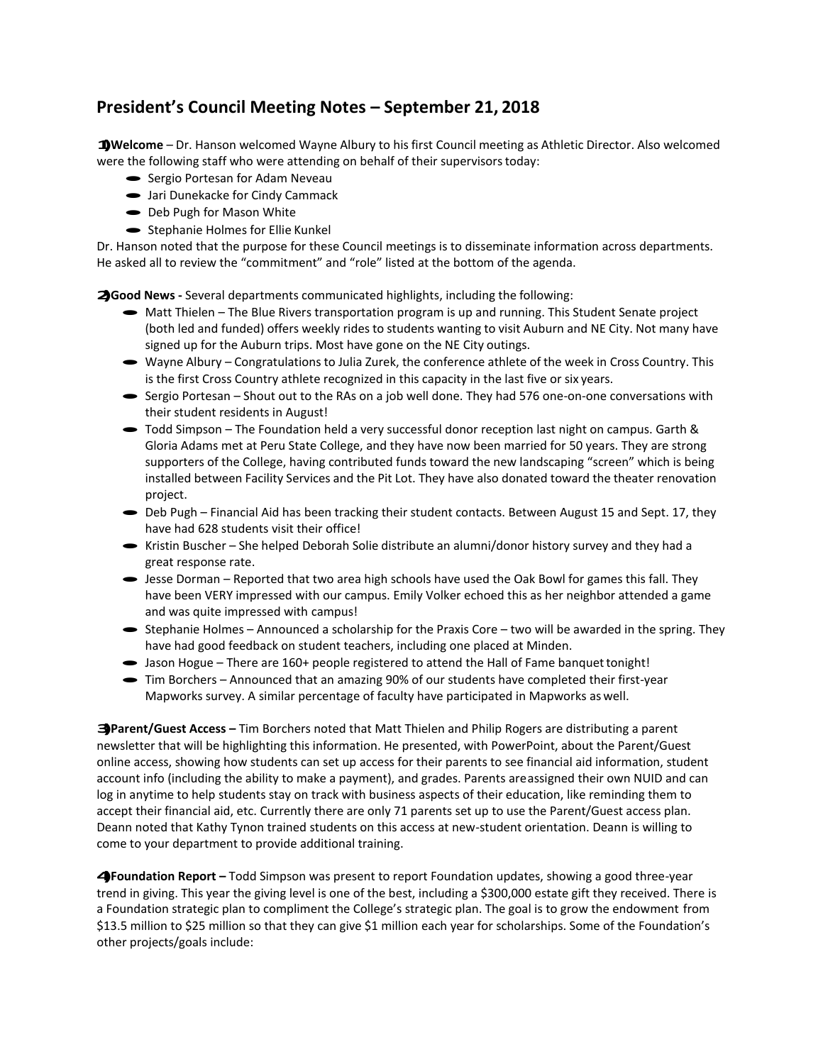## **President's Council Meeting Notes – September 21, 2018**

**1)Welcome** – Dr. Hanson welcomed Wayne Albury to his first Council meeting as Athletic Director. Also welcomed were the following staff who were attending on behalf of their supervisors today:<br>
Sergio Portesan for Adam Neveau

- Sergio Portesan for Adam Neveau<br>• Jari Dunekacke for Cindy Cammack
- 
- Jari Dunekacke for Cindy Ca<br>• Deb Pugh for Mason White
- Deb Pugh for Mason White<br>• Stephanie Holmes for Ellie Kunkel

Dr. Hanson noted that the purpose for these Council meetings is to disseminate information across departments. He asked all to review the "commitment" and "role" listed at the bottom of the agenda.

**2)Good News -** Several departments communicated highlights, including the following:

- Matt Thielen The Blue Rivers transportation program is up and running. This Student Senate project (both led and funded) offers weekly rides to students wanting to visit Auburn and NE City. Not many have signed up for the Auburn trips. Most have gone on the NE City outings.
- · Wayne Albury Congratulations to Julia Zurek, the conference athlete of the week in Cross Country. This is the first Cross Country athlete recognized in this capacity in the last five or six years.
- · Sergio Portesan Shout out to the RAs on a job well done. They had 576 one-on-one conversations with their student residents in August!
- · Todd Simpson The Foundation held a very successful donor reception last night on campus. Garth & Gloria Adams met at Peru State College, and they have now been married for 50 years. They are strong supporters of the College, having contributed funds toward the new landscaping "screen" which is being installed between Facility Services and the Pit Lot. They have also donated toward the theater renovation project.
- Deb Pugh Financial Aid has been tracking their student contacts. Between August 15 and Sept. 17, they have had 628 students visit their office!
- · Kristin Buscher She helped Deborah Solie distribute an alumni/donor history survey and they had <sup>a</sup> great response rate.
- · Jesse Dorman Reported that two area high schools have used the Oak Bowl for games this fall. They have been VERY impressed with our campus. Emily Volker echoed this as her neighbor attended a game and was quite impressed with campus!
- · Stephanie Holmes Announced a scholarship for the Praxis Core two will be awarded in the spring. They have had good feedback on student teachers, including one placed at Minden.
- Jason Hogue There are 160+ people registered to attend the Hall of Fame banquet tonight!
- · Tim Borchers Announced that an amazing 90% of our students have completed their first-year Mapworks survey. A similar percentage of faculty have participated in Mapworks as well.

**3)Parent/Guest Access –** Tim Borchers noted that Matt Thielen and Philip Rogers are distributing a parent newsletter that will be highlighting this information. He presented, with PowerPoint, about the Parent/Guest online access, showing how students can set up access for their parents to see financial aid information, student account info (including the ability to make a payment), and grades. Parents areassigned their own NUID and can log in anytime to help students stay on track with business aspects of their education, like reminding them to accept their financial aid, etc. Currently there are only 71 parents set up to use the Parent/Guest access plan. Deann noted that Kathy Tynon trained students on this access at new-student orientation. Deann is willing to come to your department to provide additional training.

**4)Foundation Report –** Todd Simpson was present to report Foundation updates, showing a good three-year trend in giving. This year the giving level is one of the best, including a \$300,000 estate gift they received. There is a Foundation strategic plan to compliment the College's strategic plan. The goal is to grow the endowment from \$13.5 million to \$25 million so that they can give \$1 million each year for scholarships. Some of the Foundation's other projects/goals include: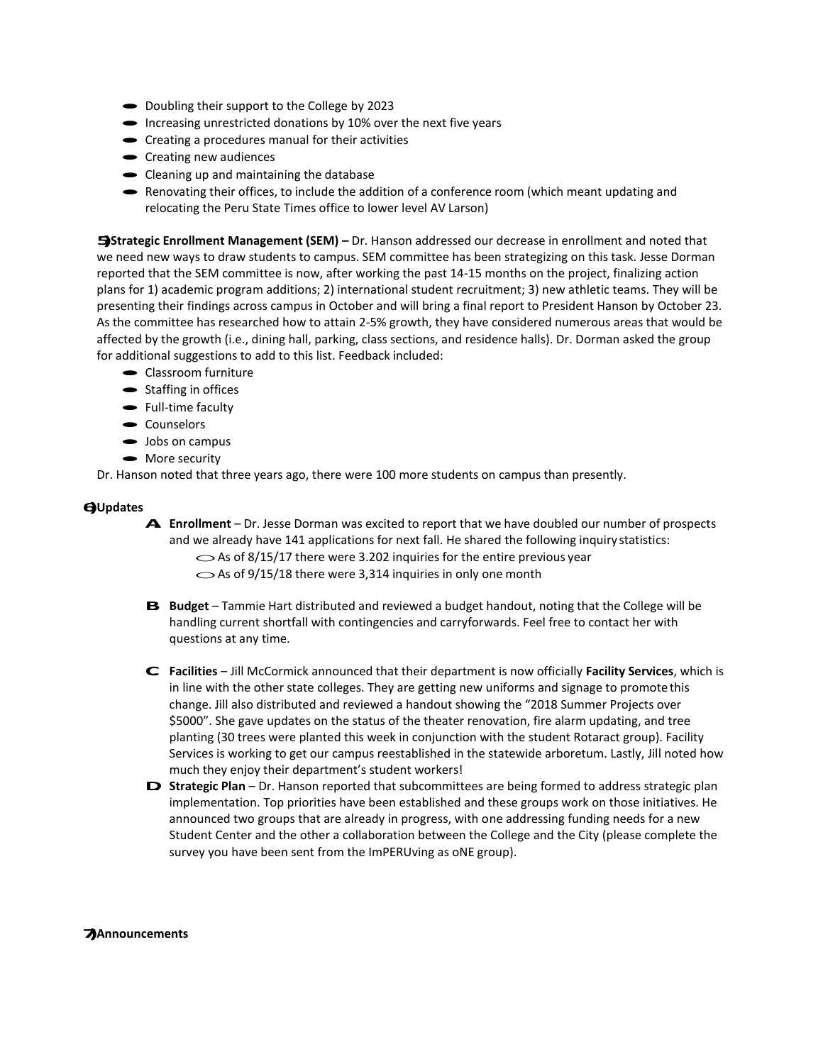- Doubling their support to the College by 2023
- $\bullet$  Increasing unrestricted donations by 10% over the next five years
- Increasing unrestricted donations by 10% over the Creating a procedures manual for their activities
- Creating a procedures m<br>• Creating new audiences
- Creating new audiences<br>• Cleaning up and maintaining the database
- · Renovating their offices, to include the addition of <sup>a</sup> conference room (which meant updating and relocating the Peru State Times office to lower level AV Larson)

**5)Strategic Enrollment Management (SEM) –** Dr. Hanson addressed our decrease in enrollment and noted that we need new ways to draw students to campus. SEM committee has been strategizing on this task. Jesse Dorman reported that the SEM committee is now, after working the past 14-15 months on the project, finalizing action plans for 1) academic program additions; 2) international student recruitment; 3) new athletic teams. They will be presenting their findings across campus in October and will bring a final report to President Hanson by October 23. As the committee has researched how to attain 2-5% growth, they have considered numerous areas that would be affected by the growth (i.e., dining hall, parking, class sections, and residence halls). Dr. Dorman asked the group for additional suggestions to add to this list. Feedback included:<br>
• Classroom furniture

- Classroom furnitu<br>• Staffing in offices
- Staffing in office<br>• Full-time faculty
- Full-time faculty<br>• Counselors
- 
- Counselors<br>• Jobs on campus
- Jobs on cample

Dr. Hanson noted that three years ago, there were 100 more students on campus than presently.

## **6)Updates**

- **A. Enrollment** Dr. Jesse Dorman was excited to report that we have doubled our number of prospects and we already have 141 applications for next fall. He shared the following inquiry statistics:<br>  $\bigcirc$  As of 8/15/17 there were 3.202 inquiries for the entire previous year  $\sim$  As of 8/15/17 there were 3.202 inquiries for the entire previous year  $\sim$  As of 9/15/18 there were 3,314 inquiries in only one month
- **B. Budget** Tammie Hart distributed and reviewed <sup>a</sup> budget handout, noting that the College will be handling current shortfall with contingencies and carryforwards. Feel free to contact her with questions at any time.
- **C. Facilities**  Jill McCormick announced that their department is now officially **Facility Services**, which is in line with the other state colleges. They are getting new uniforms and signage to promotethis change. Jill also distributed and reviewed a handout showing the "2018 Summer Projects over \$5000". She gave updates on the status of the theater renovation, fire alarm updating, and tree planting (30 trees were planted this week in conjunction with the student Rotaract group). Facility Services is working to get our campus reestablished in the statewide arboretum. Lastly, Jill noted how much they enjoy their department's student workers!
- **D** Strategic Plan Dr. Hanson reported that subcommittees are being formed to address strategic plan implementation. Top priorities have been established and these groups work on those initiatives. He announced two groups that are already in progress, with one addressing funding needs for a new Student Center and the other a collaboration between the College and the City (please complete the survey you have been sent from the ImPERUving as oNE group).

## **7)Announcements**